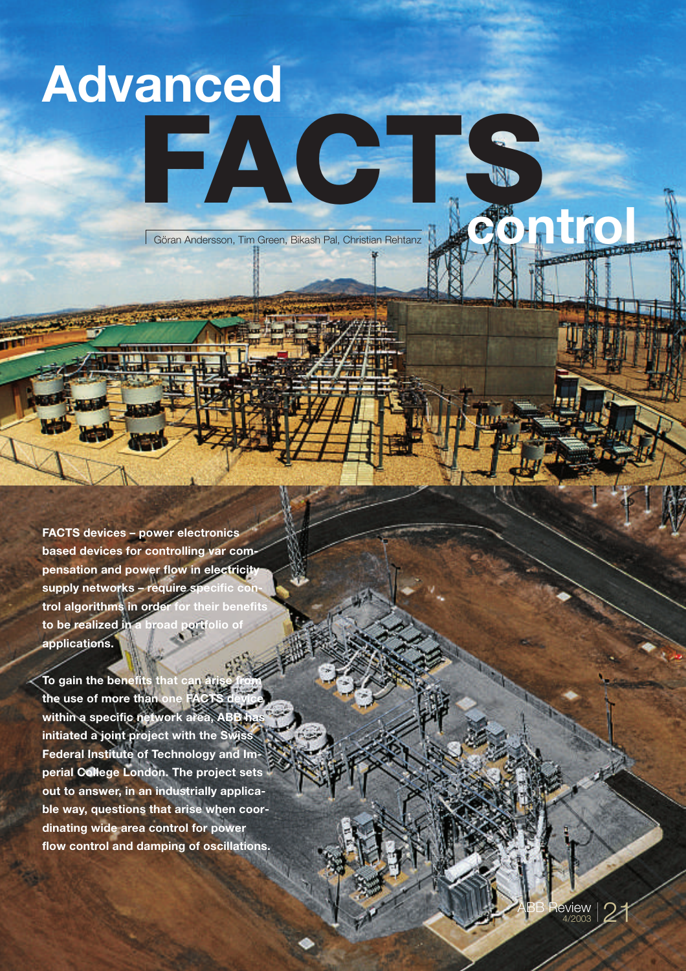# **Advanced**

Göran Andersson, Tim Green, Bikash Pal, Christian Rehtanz **control**

FACTS.

**FACTS devices – power electronics based devices for controlling var compensation and power flow in electricity** supply networks - require specific con**trol algorithms in order for their benefits to be realized in a broad portfolio of applications.** 

**To gain the benefits that can a** the use of more than one within a specific network area, ABB **initiated a joint project with the Swiss Federal Institute of Technology and Imperial College London. The project sets out to answer, in an industrially applicable way, questions that arise when coordinating wide area control for power flow control and damping of oscillations.**

> $\mathsf{ABB} \ \mathsf{Review} \ \mathsf{21}$ 4/2003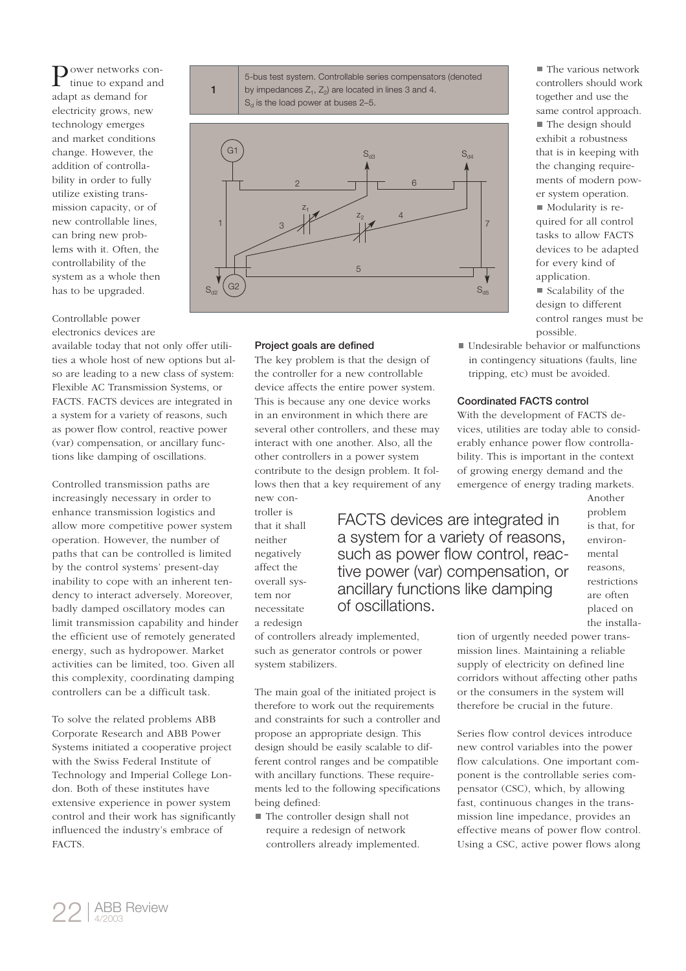Power networks con-<br>tinue to expand and tinue to expand and adapt as demand for electricity grows, new technology emerges and market conditions change. However, the addition of controllability in order to fully utilize existing transmission capacity, or of new controllable lines, can bring new problems with it. Often, the controllability of the system as a whole then has to be upgraded.

Controllable power electronics devices are

available today that not only offer utilities a whole host of new options but also are leading to a new class of system: Flexible AC Transmission Systems, or FACTS. FACTS devices are integrated in a system for a variety of reasons, such as power flow control, reactive power (var) compensation, or ancillary functions like damping of oscillations.

Controlled transmission paths are increasingly necessary in order to enhance transmission logistics and allow more competitive power system operation. However, the number of paths that can be controlled is limited by the control systems' present-day inability to cope with an inherent tendency to interact adversely. Moreover, badly damped oscillatory modes can limit transmission capability and hinder the efficient use of remotely generated energy, such as hydropower. Market activities can be limited, too. Given all this complexity, coordinating damping controllers can be a difficult task.

To solve the related problems ABB Corporate Research and ABB Power Systems initiated a cooperative project with the Swiss Federal Institute of Technology and Imperial College London. Both of these institutes have extensive experience in power system control and their work has significantly influenced the industry's embrace of FACTS.



# Project goals are defined

The key problem is that the design of the controller for a new controllable device affects the entire power system. This is because any one device works in an environment in which there are several other controllers, and these may interact with one another. Also, all the other controllers in a power system contribute to the design problem. It follows then that a key requirement of any new con-

troller is that it shall neither negatively affect the overall system nor necessitate a redesign

FACTS devices are integrated in a system for a variety of reasons, such as power flow control, reactive power (var) compensation, or ancillary functions like damping of oscillations.

■ The various network controllers should work together and use the same control approach. ■ The design should exhibit a robustness that is in keeping with the changing requirements of modern power system operation.  $\blacksquare$  Modularity is required for all control tasks to allow FACTS devices to be adapted for every kind of application.  $\blacksquare$  Scalability of the design to different control ranges must be

■ Undesirable behavior or malfunctions in contingency situations (faults, line tripping, etc) must be avoided.

possible.

#### Coordinated FACTS control

With the development of FACTS devices, utilities are today able to considerably enhance power flow controllability. This is important in the context of growing energy demand and the emergence of energy trading markets.

> environmental reasons, restrictions are often placed on the installa-

Another problem is that, for

of controllers already implemented, such as generator controls or power system stabilizers.

The main goal of the initiated project is therefore to work out the requirements and constraints for such a controller and propose an appropriate design. This design should be easily scalable to different control ranges and be compatible with ancillary functions. These requirements led to the following specifications being defined:

■ The controller design shall not require a redesign of network controllers already implemented. tion of urgently needed power transmission lines. Maintaining a reliable supply of electricity on defined line corridors without affecting other paths or the consumers in the system will therefore be crucial in the future.

Series flow control devices introduce new control variables into the power flow calculations. One important component is the controllable series compensator (CSC), which, by allowing fast, continuous changes in the transmission line impedance, provides an effective means of power flow control. Using a CSC, active power flows along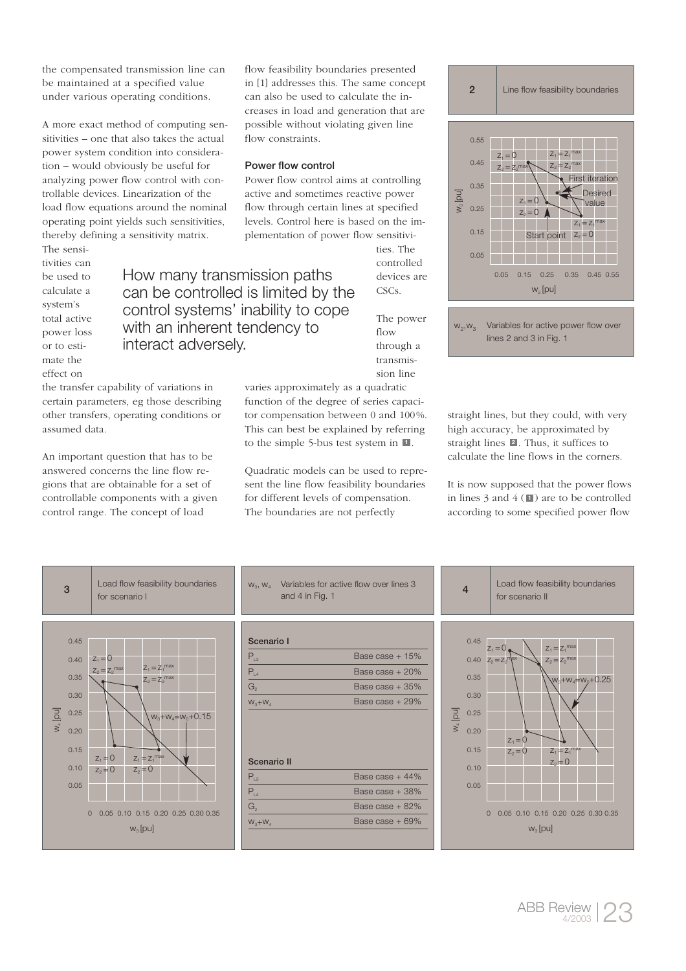the compensated transmission line can be maintained at a specified value under various operating conditions.

A more exact method of computing sensitivities – one that also takes the actual power system condition into consideration – would obviously be useful for analyzing power flow control with controllable devices. Linearization of the load flow equations around the nominal operating point yields such sensitivities, thereby defining a sensitivity matrix.

The sensitivities can be used to calculate a system's total active power loss or to estimate the effect on

the transfer capability of variations in certain parameters, eg those describing other transfers, operating conditions or assumed data.

An important question that has to be answered concerns the line flow regions that are obtainable for a set of controllable components with a given control range. The concept of load

flow feasibility boundaries presented in [1] addresses this. The same concept can also be used to calculate the increases in load and generation that are possible without violating given line flow constraints.

### Power flow control

How many transmission paths can be controlled is limited by the control systems' inability to cope with an inherent tendency to

interact adversely.

Power flow control aims at controlling active and sometimes reactive power flow through certain lines at specified levels. Control here is based on the implementation of power flow sensitivi-

> ties. The controlled devices are

The power flow through a transmission line

CSCs.



2 | Line flow feasibility boundaries

 $W_2, W_3$ Variables for active power flow over lines 2 and 3 in Fig. 1

varies approximately as a quadratic function of the degree of series capacitor compensation between 0 and 100%. This can best be explained by referring to the simple 5-bus test system in . **1**

Quadratic models can be used to represent the line flow feasibility boundaries for different levels of compensation. The boundaries are not perfectly

straight lines, but they could, with very high accuracy, be approximated by straight lines **2**. Thus, it suffices to calculate the line flows in the corners.

It is now supposed that the power flows in lines  $3$  and  $4$  ( $\blacksquare$ ) are to be controlled according to some specified power flow



| Scenario I |                   |
|------------|-------------------|
| $P_{13}$   | Base case $+15%$  |
| $P_{14}$   | Base case $+20\%$ |
| G,         | Base case $+35%$  |
| $W_3+W_4$  | Base case $+29%$  |

Variables for active flow over lines 3

# Scenario II

 $W_2$ ,  $W_4$ 

| $P_{12}$  | Base case $+44%$  |
|-----------|-------------------|
|           | Base case $+38\%$ |
| G,        | Base case $+82%$  |
| $W_3+W_4$ | Base case $+69%$  |

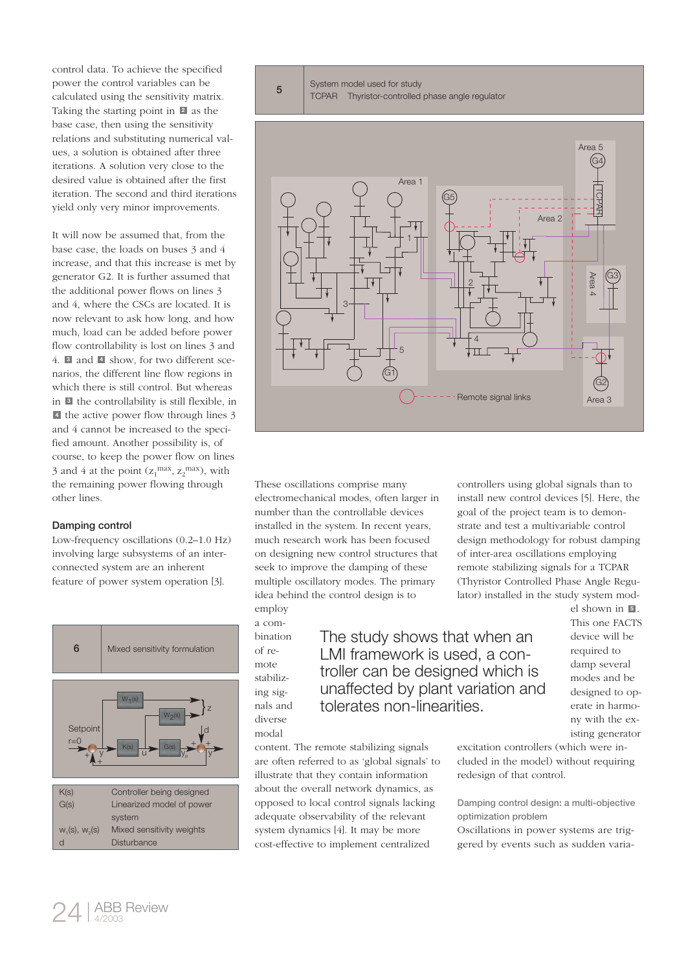control data. To achieve the specified power the control variables can be calculated using the sensitivity matrix. Taking the starting point in  $\blacksquare$  as the base case, then using the sensitivity relations and substituting numerical values, a solution is obtained after three iterations. A solution very close to the desired value is obtained after the first iteration. The second and third iterations yield only very minor improvements.

It will now be assumed that, from the base case, the loads on buses 3 and 4 increase, and that this increase is met by generator G2. It is further assumed that the additional power flows on lines 3 and 4, where the CSCs are located. It is now relevant to ask how long, and how much, load can be added before power flow controllability is lost on lines 3 and 4. and show, for two different sce-**3 4** narios, the different line flow regions in which there is still control. But whereas in **3** the controllability is still flexible, in the active power flow through lines 3 **4** and 4 cannot be increased to the specified amount. Another possibility is, of course, to keep the power flow on lines 3 and 4 at the point  $(z_1^{\text{max}}, z_2^{\text{max}})$ , with the remaining power flowing through other lines.

## Damping control

Low-frequency oscillations (0.2–1.0 Hz) involving large subsystems of an interconnected system are an inherent feature of power system operation [3].





System model used for study

5 System model used for study<br>
TCPAR Thyristor-controlled phase angle regulator



These oscillations comprise many electromechanical modes, often larger in number than the controllable devices installed in the system. In recent years, much research work has been focused on designing new control structures that seek to improve the damping of these multiple oscillatory modes. The primary idea behind the control design is to employ

cost-effective to implement centralized

a combination of remote stabilizing signals and diverse

modal

The study shows that when an LMI framework is used, a controller can be designed which is unaffected by plant variation and tolerates non-linearities.

controllers using global signals than to install new control devices [5]. Here, the goal of the project team is to demonstrate and test a multivariable control design methodology for robust damping of inter-area oscillations employing remote stabilizing signals for a TCPAR (Thyristor Controlled Phase Angle Regulator) installed in the study system mod-

> el shown in **5**. This one FACTS device will be required to damp several modes and be designed to operate in harmony with the existing generator

excitation controllers (which were included in the model) without requiring redesign of that control. content. The remote stabilizing signals are often referred to as 'global signals' to illustrate that they contain information about the overall network dynamics, as opposed to local control signals lacking adequate observability of the relevant system dynamics [4]. It may be more

Damping control design: a multi-objective optimization problem

Oscillations in power systems are triggered by events such as sudden varia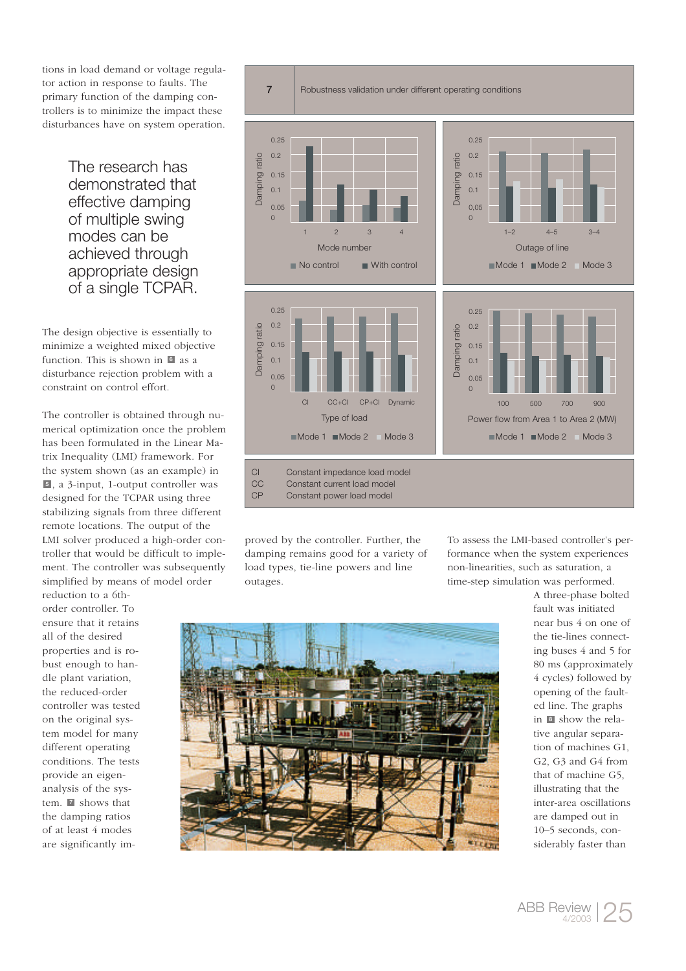tions in load demand or voltage regulator action in response to faults. The primary function of the damping controllers is to minimize the impact these disturbances have on system operation.

> The research has demonstrated that effective damping of multiple swing modes can be achieved through appropriate design of a single TCPAR.

The design objective is essentially to minimize a weighted mixed objective function. This is shown in **6** as a disturbance rejection problem with a constraint on control effort.

The controller is obtained through numerical optimization once the problem has been formulated in the Linear Matrix Inequality (LMI) framework. For the system shown (as an example) in , a 3-input, 1-output controller was **5** designed for the TCPAR using three stabilizing signals from three different remote locations. The output of the LMI solver produced a high-order controller that would be difficult to implement. The controller was subsequently simplified by means of model order

reduction to a 6thorder controller. To ensure that it retains all of the desired properties and is robust enough to handle plant variation, the reduced-order controller was tested on the original system model for many different operating conditions. The tests provide an eigenanalysis of the system. **7** shows that the damping ratios of at least 4 modes are significantly im-



proved by the controller. Further, the damping remains good for a variety of load types, tie-line powers and line outages.

To assess the LMI-based controller's performance when the system experiences non-linearities, such as saturation, a time-step simulation was performed.



A three-phase bolted fault was initiated near bus 4 on one of the tie-lines connecting buses 4 and 5 for 80 ms (approximately 4 cycles) followed by opening of the faulted line. The graphs in **8** show the relative angular separation of machines G1, G2, G3 and G4 from that of machine G5, illustrating that the inter-area oscillations are damped out in 10–5 seconds, considerably faster than